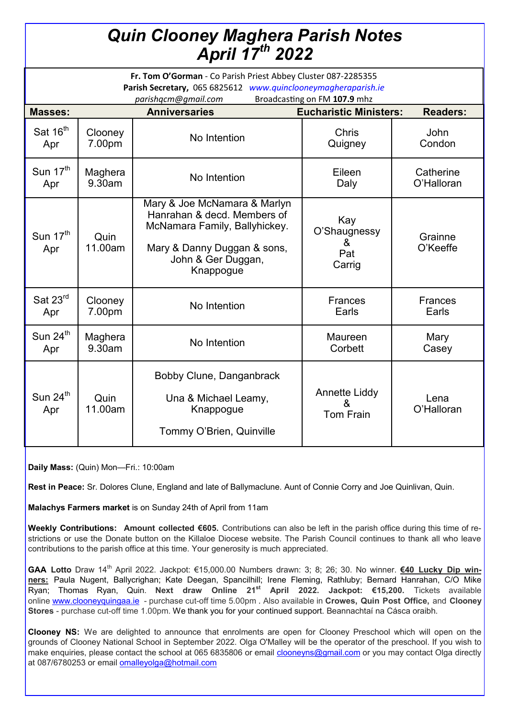## *Quin Clooney Maghera Parish Notes April 17th 2022*

| Fr. Tom O'Gorman - Co Parish Priest Abbey Cluster 087-2285355<br>Parish Secretary, 065 6825612 www.quinclooneymagheraparish.ie<br>parishqcm@gmail.com<br>Broadcasting on FM 107.9 mhz |                      |                                                                                                                                                                |                                               |                     |
|---------------------------------------------------------------------------------------------------------------------------------------------------------------------------------------|----------------------|----------------------------------------------------------------------------------------------------------------------------------------------------------------|-----------------------------------------------|---------------------|
| <b>Masses:</b>                                                                                                                                                                        | <b>Anniversaries</b> |                                                                                                                                                                | <b>Eucharistic Ministers:</b>                 | <b>Readers:</b>     |
| Sat 16 <sup>th</sup>                                                                                                                                                                  | Clooney              | No Intention                                                                                                                                                   | <b>Chris</b>                                  | John                |
| Apr                                                                                                                                                                                   | 7.00pm               |                                                                                                                                                                | Quigney                                       | Condon              |
| Sun $17th$                                                                                                                                                                            | Maghera              | No Intention                                                                                                                                                   | Eileen                                        | Catherine           |
| Apr                                                                                                                                                                                   | 9.30am               |                                                                                                                                                                | Daly                                          | O'Halloran          |
| Sun 17 <sup>th</sup><br>Apr                                                                                                                                                           | Quin<br>11.00am      | Mary & Joe McNamara & Marlyn<br>Hanrahan & decd. Members of<br>McNamara Family, Ballyhickey.<br>Mary & Danny Duggan & sons,<br>John & Ger Duggan,<br>Knappogue | Kay<br>O'Shaugnessy<br>ਲ.<br>Pat<br>Carrig    | Grainne<br>O'Keeffe |
| Sat 23rd                                                                                                                                                                              | Clooney              | No Intention                                                                                                                                                   | <b>Frances</b>                                | <b>Frances</b>      |
| Apr                                                                                                                                                                                   | 7.00pm               |                                                                                                                                                                | Earls                                         | Earls               |
| Sun 24 <sup>th</sup>                                                                                                                                                                  | Maghera              | No Intention                                                                                                                                                   | Maureen                                       | Mary                |
| Apr                                                                                                                                                                                   | 9.30am               |                                                                                                                                                                | Corbett                                       | Casey               |
| Sun $24^{\text{th}}$<br>Apr                                                                                                                                                           | Quin<br>11.00am      | Bobby Clune, Danganbrack<br>Una & Michael Leamy,<br>Knappogue<br>Tommy O'Brien, Quinville                                                                      | <b>Annette Liddy</b><br>&<br><b>Tom Frain</b> | Lena<br>O'Halloran  |

**Daily Mass:** (Quin) Mon—Fri.: 10:00am

**Rest in Peace:** Sr. Dolores Clune, England and late of Ballymaclune. Aunt of Connie Corry and Joe Quinlivan, Quin.

**Malachys Farmers market** is on Sunday 24th of April from 11am

**Weekly Contributions: Amount collected €605.** Contributions can also be left in the parish office during this time of restrictions or use the Donate button on the Killaloe Diocese website. The Parish Council continues to thank all who leave contributions to the parish office at this time. Your generosity is much appreciated.

**GAA Lotto** Draw 14th April 2022. Jackpot: €15,000.00 Numbers drawn: 3; 8; 26; 30. No winner. **€40 Lucky Dip winners:** Paula Nugent, Ballycrighan; Kate Deegan, Spancilhill; Irene Fleming, Rathluby; Bernard Hanrahan, C/O Mike Ryan; Thomas Ryan, Quin. **Next draw Online 21st April 2022. Jackpot: €15,200.** Tickets available online [www.clooneyquingaa.ie](http://www.clooneyquingaa.ie/) - purchase cut-off time 5.00pm . Also available in **Crowes, Quin Post Office,** and **Clooney Stores** - purchase cut-off time 1.00pm. We thank you for your continued support. Beannachtaí na Cásca oraibh.

**Clooney NS:** We are delighted to announce that enrolments are open for Clooney Preschool which will open on the grounds of Clooney National School in September 2022. Olga O'Malley will be the operator of the preschool. If you wish to make enquiries, please contact the school at 065 6835806 or email [clooneyns@gmail.com](mailto:clooneyns@gmail.com) or you may contact Olga directly at 087/6780253 or email [omalleyolga@hotmail.com](mailto:omalleyolga@hotmail.com)